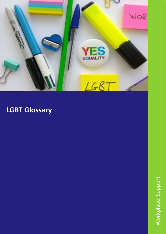

## **LGBT Glossary**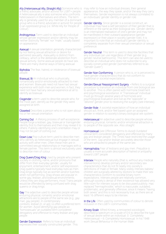**Ally (Heterosexual Ally, Straight Ally)** Someone who is may refer to how an individual dresses, their general a friend, advocate, and/or activist for LGBT+ people. A heterosexual ally is also someone who confronts heterosexism in themselves and others. The term ally is generally used for any member of a dominant group who is a friend, advocate or activist for people in an oppressed group (i.e. White Ally for People of Colour).

Androgynous Term used to describe an individual whose gender expression and/or identity may be neither distinctly "female" nor "male," usually based on appearance.

Asexual A sexual orientation generally characterized by not feeling sexual attraction or desire for partnered sexuality. Asexuality is distinct from celibacy, which is the deliberate abstention from sexual activity. Some asexual people do have sex. There are many diverse ways of being asexual.

Biphobia The fear, hatred, or intolerance of bisexual people.

**Bisexual, Bi** An individual who is physically, romantically and/or emotionally attracted to men and women. Bisexuals need not have had sexual experience with both men and women; in fact, they need not have had any sexual experience at all to identify as bisexual.

**Cisgender** a term used to describe people who, for the most part, identify as the gender they were assigned at birth.

Closeted Describes a person who is not open about his or her sexual orientation.

**Coming Out** A lifelong process of self-acceptance. People forge a lesbian, gay, bisexual or transgender identity first to themselves and then may reveal it to others. Publicly identifying one's orientation may or may not be part of coming out.

Down Low Pop-culture term used to describe men who identify as heterosexual but engage in sexual activity with other men. Often these men are in committed sexual relationships or marriages with a female partner. This term is almost exclusively used to describe men of colour.

Drag Queen/Drag King Used by people who present cially in clothing, name, and/or pronouns that differ from their everyday gender, usually for enjoyment, entertainment, and/or self-expression. Drag queens typically have everyday lives as men. Drag kings typically live as women and/or butches when not performing. Drag shows are popular in some gay, lesbian, and bisexual environments. Unless they are drag performers, most Trans people would be offended by being confused with drag queens or drag kings.

Gay The adjective used to describe people whose enduring physical, romantic and/or emotional attractions are to people of the same sex (e.g., *gay man, gay people). In contemporary contexts, lesbian (n. or adj.) is often a preferred term for women. Avoid identifying gay people as "homosexuals" an outdated term considered derogatory and offensive to many lesbian and gay people.*

Gender Expression Refers to how an individual expresses their socially constructed gender. This appearance, the way they speak, and/or the way they carry themselves. Gender expression is not always correlated to an individuals' gender identity or gender role.

**Gender Identity** Since gender is a social construct, an individual may have a self perception of their gender that is different or the same as their biological sex. Gender identity is an internalised realisation of one's gender and may not be manifested in their outward appearance (gender expression) or their place in society (gender role). It is important to note that an individual's gender identity is completely separate from their sexual orientation or sexual preference.

**Gender Neutral** This term is used to describe facilities that any individual can use regardless of their gender (e.g. gender neutral bathrooms). This term can also be used to describe an individual who does not subscribe to any socially constructed gender (sometimes referred to as "Gender Queer").

Gender Non Conforming A person who is, or is perceived to have gender characteristics that do not conform to traditional or societal expectations.

Gender/Sexual Reassignment Surgery - Refers to a surgical procedure to transition an individual from one biological sex to another. This is often paired with hormone treatment and psychological assistance. A "Transsexual" individual must go through several years of hormones and psychological evaluation and live as the "opposite" or "desired" gender prior to receiving the surgery (see intersex).

Gender Role A societal expectation of how an individual should act, think, and/or feel based upon an assigned gender in relation to society's binary biological sex system.

Heterosexual An adjective used to describe people whose enduring physical, romantic and/or emotional attraction is to people of the opposite sex. Also *straight.*

Homosexual (*see Offensive Terms to Avoid) Outdated clinical term considered derogatory and offensive by many gay and lesbian people. The Times have restricted the usage of the term. Gay and/or lesbian accurately describe those who are attracted to people of the same sex.*

Homophobia Fear of lesbians and gay men. *Prejudice is usually a more accurate description of hatred or antipathy toward LGBT people.*

Intersex People who naturally (that is, without any medical interventions) develop primary and/or secondary sex characteristics that do not fit neatly into society's definitions of male or female. Many visibly intersex babies/ children are surgically altered by doctors to make their sex characteristics conform to societal binary norm expectations. Intersex people are relatively common, although society's denial of their existence has allowed very little room for intersex issues to be discussed publicly. Has replaced "hermaphrodite," which is inaccurate, outdated, problematic, and generally offensive, since it means "having both sexes" and this is not necessarily true, as there are at least 16 different ways to be intersex.

In the Life Often used by communities of colour to denote inclusion in the LGBT+ communities.

Kinsey Scale Alfred Kinsey, a renowned sociologist, described a spectrum on a scale of 0 6 to describe the type of sexual desire within an individual. 0 Completely Heterosexual – 6: Completely Homosexual. In his 1948 work *Sexual Behaviour in the Human Male.*